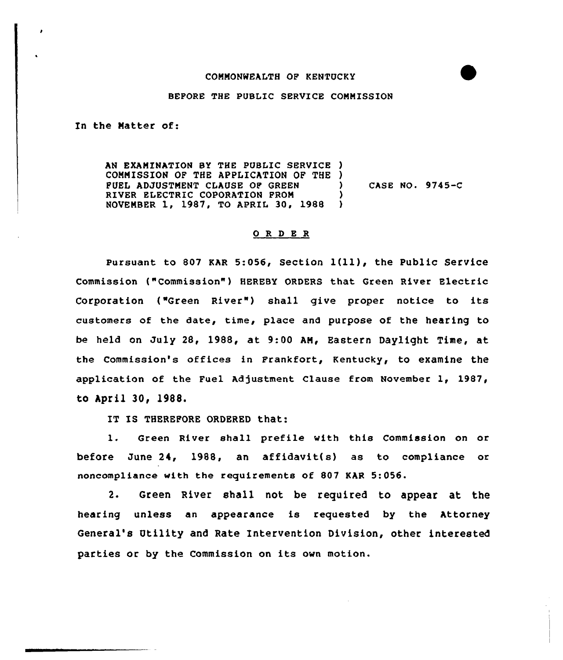## COMMONWEALTH OP KENTUCKY

## BEFORE THE PUBLIC SERVICE COMNISSION

In the Natter of:

AN EXAMINATION BY THE PUBLIC SERVICE ) COMMISSION OF THE APPLICATION OF THE )<br>FUEL ADJUSTMENT CLAUSE OF GREEN FUEL ADJUSTMENT CLAUSE OF GREEN RIVER ELECTRIC COPORATION FROM NOVEMBER 1, 1987, TO APRIL 30, 1988 ) CASE NO. 9745-C

## 0 R <sup>D</sup> E R

Pursuant to <sup>807</sup> KAR 5:056, Section l(ll), the Public Service Commission ("Commission" ) HEREBY ORDERS that Green River Electric Corporation ("Green River") shall give proper notice to its customers of the date, time, place and purpose of the hearing to be held on July 28, 1988, at 9:<sup>00</sup> AN, Eastern Daylight Time, at the commission's offices in Frankfort, Kentucky, to examine the application of the Fuel Adjustment Clause from November 1, 1987, to April 30, 1988.

IT IS THEREFORE ORDERED that:

1. Green River shall prefile with this Commission on or before June 24, 1988, an affidavit(s) as to compliance or noncompliance with the requirements of 807 KAR 5:056.

2. Green River shall not be required to appear at the hearing unless an appearance is requested by the Attorney General's Utility and Rate Intervention Division, other interested parties or by the Commission on its own motion.